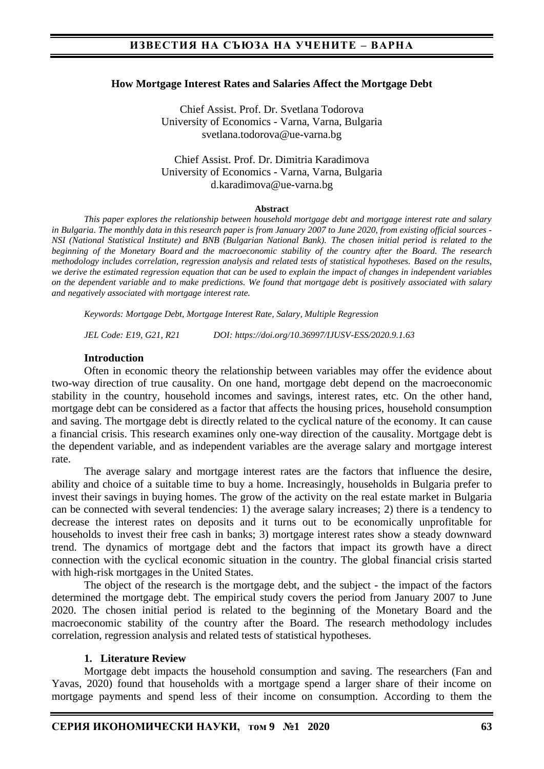#### **How Mortgage Interest Rates and Salaries Affect the Mortgage Debt**

Chief Assist. Prof. Dr. Svetlana Todorova University of Economics - Varna, Varna, Bulgaria svetlana.todorova@ue-varna.bg

## Chief Assist. Prof. Dr. Dimitria Karadimova University of Economics - Varna, Varna, Bulgaria d.karadimova@ue-varna.bg

#### **Abstract**

*This paper explores the relationship between household mortgage debt and mortgage interest rate and salary in Bulgaria. The monthly data in this research paper is from January 2007 to June 2020, from existing official sources - NSI (National Statistical Institute) and BNB (Bulgarian National Bank). The chosen initial period is related to the beginning of the Monetary Board and the macroeconomic stability of the country after the Board. The research methodology includes correlation, regression analysis and related tests of statistical hypotheses. Based on the results, we derive the estimated regression equation that can be used to explain the impact of changes in independent variables on the dependent variable and to make predictions. We found that mortgage debt is positively associated with salary and negatively associated with mortgage interest rate.*

*Keywords: Mortgage Debt, Mortgage Interest Rate, Salary, Multiple Regression*

*JEL Code: E19, G21, R21 DOI: https://doi.org/10.36997/IJUSV-ESS/2020.9.1.63*

#### **Introduction**

Оften in economic theory the relationship between variables may offer the evidence about two-way direction of true causality. On one hand, mortgage debt depend on the macroeconomic stability in the country, household incomes and savings, interest rates, etc. On the other hand, mortgage debt can be considered as a factor that affects the housing prices, household consumption and saving. The mortgage debt is directly related to the cyclical nature of the economy. It can cause a financial crisis. This research examines only one-way direction of the causality. Mortgage debt is the dependent variable, and as independent variables are the average salary and mortgage interest rate.

The average salary and mortgage interest rates are the factors that influence the desire, ability and choice of a suitable time to buy a home. Increasingly, households in Bulgaria prefer to invest their savings in buying homes. The grow of the activity on the real estate market in Bulgaria can be connected with several tendencies: 1) the average salary increases; 2) there is a tendency to decrease the interest rates on deposits and it turns out to be economically unprofitable for households to invest their free cash in banks; 3) mortgage interest rates show a steady downward trend. The dynamics of mortgage debt and the factors that impact its growth have a direct connection with the cyclical economic situation in the country. The global financial crisis started with high-risk mortgages in the United States.

The object of the research is the mortgage debt, and the subject - the impact of the factors determined the mortgage debt. The empirical study covers the period from January 2007 to June 2020. The chosen initial period is related to the beginning of the Monetary Board and the macroeconomic stability of the country after the Board. The research methodology includes correlation, regression analysis and related tests of statistical hypotheses.

#### **1. Literature Review**

Mortgage debt impacts the household consumption and saving. The researchers (Fan and Yavas, 2020) found that households with a mortgage spend a larger share of their income on mortgage payments and spend less of their income on consumption. According to them the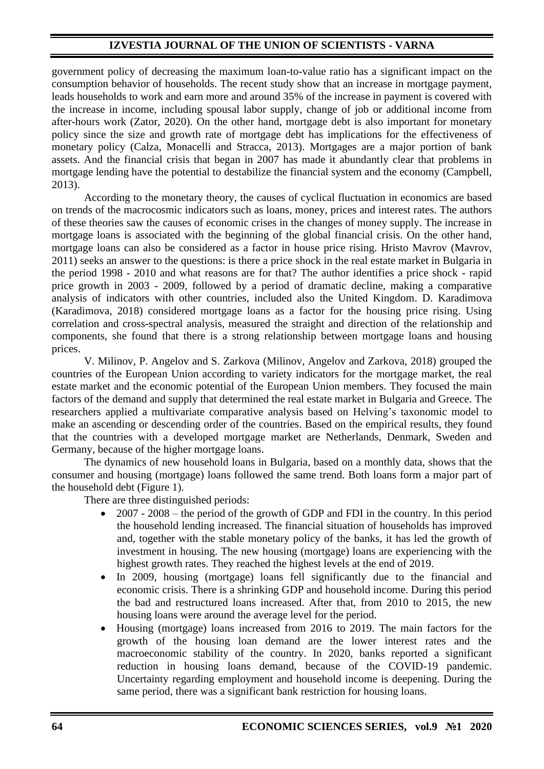# **IZVESTIA JOURNAL OF THE UNION OF SCIENTISTS - VARNA**

government policy of decreasing the maximum loan-to-value ratio has a significant impact on the consumption behavior of households. The recent study show that an increase in mortgage payment, leads households to work and earn more and around 35% of the increase in payment is covered with the increase in income, including spousal labor supply, change of job or additional income from after-hours work (Zator, 2020). On the other hand, mortgage debt is also important for monetary policy since the size and growth rate of mortgage debt has implications for the effectiveness of monetary policy (Calza, Monacelli and Stracca, 2013). Mortgages are a major portion of bank assets. And the financial crisis that began in 2007 has made it abundantly clear that problems in mortgage lending have the potential to destabilize the financial system and the economy (Campbell, 2013).

According to the monetary theory, the causes of cyclical fluctuation in economics are based on trends of the macrocosmic indicators such as loans, money, prices and interest rates. The authors of these theories saw the causes of economic crises in the changes of money supply. The increase in mortgage loans is associated with the beginning of the global financial crisis. On the other hand, mortgage loans can also be considered as a factor in house price rising. Hristo Mavrov (Mavrov, 2011) seeks an answer to the questions: is there a price shock in the real estate market in Bulgaria in the period 1998 - 2010 and what reasons are for that? The author identifies a price shock - rapid price growth in 2003 - 2009, followed by a period of dramatic decline, making a comparative analysis of indicators with other countries, included also the United Kingdom. D. Karadimova (Karadimova, 2018) considered mortgage loans as a factor for the housing price rising. Using correlation and cross-spectral analysis, measured the straight and direction of the relationship and components, she found that there is a strong relationship between mortgage loans and housing prices.

V. Milinov, P. Angelov and S. Zarkova (Milinov, Angelov and Zarkova, 2018) grouped the countries of the European Union according to variety indicators for the mortgage market, the real estate market and the economic potential of the European Union members. They focused the main factors of the demand and supply that determined the real estate market in Bulgaria and Greece. The researchers applied a multivariate comparative analysis based on Helving's taxonomic model to make an ascending or descending order of the countries. Based on the empirical results, they found that the countries with a developed mortgage market are Netherlands, Denmark, Sweden and Germany, because of the higher mortgage loans.

The dynamics of new household loans in Bulgaria, based on a monthly data, shows that the consumer and housing (mortgage) loans followed the same trend. Both loans form a major part of the household debt (Figure 1).

There are three distinguished periods:

- 2007 2008 the period of the growth of GDP and FDI in the country. In this period the household lending increased. The financial situation of households has improved and, together with the stable monetary policy of the banks, it has led the growth of investment in housing. The new housing (mortgage) loans are experiencing with the highest growth rates. They reached the highest levels at the end of 2019.
- In 2009, housing (mortgage) loans fell significantly due to the financial and economic crisis. There is a shrinking GDP and household income. During this period the bad and restructured loans increased. After that, from 2010 to 2015, the new housing loans were around the average level for the period.
- Housing (mortgage) loans increased from 2016 to 2019. The main factors for the growth of the housing loan demand are the lower interest rates and the macroeconomic stability of the country. In 2020, banks reported a significant reduction in housing loans demand, because of the COVID-19 pandemic. Uncertainty regarding employment and household income is deepening. During the same period, there was a significant bank restriction for housing loans.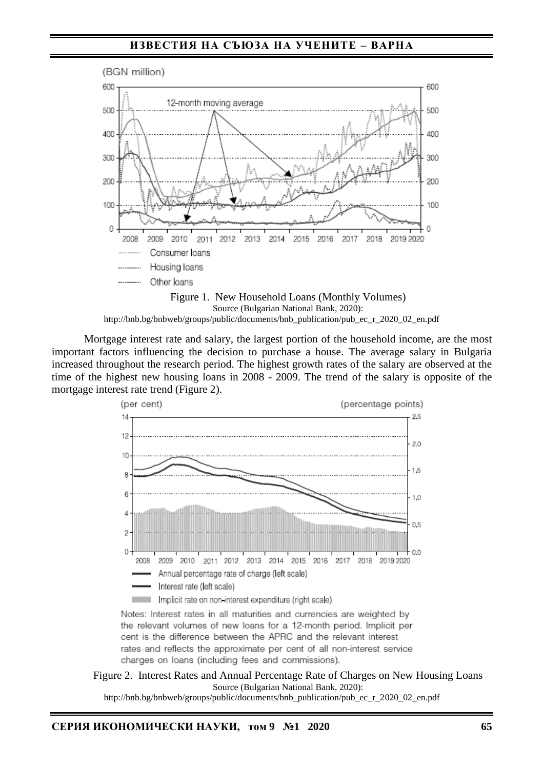

http://bnb.bg/bnbweb/groups/public/documents/bnb\_publication/pub\_ec\_r\_2020\_02\_en.pdf

Mortgage interest rate and salary, the largest portion of the household income, are the most important factors influencing the decision to purchase a house. The average salary in Bulgaria increased throughout the research period. The highest growth rates of the salary are observed at the time of the highest new housing loans in 2008 - 2009. The trend of the salary is opposite of the mortgage interest rate trend (Figure 2).



Notes: Interest rates in all maturities and currencies are weighted by the relevant volumes of new loans for a 12-month period. Implicit per cent is the difference between the APRC and the relevant interest rates and reflects the approximate per cent of all non-interest service charges on loans (including fees and commissions).

#### Figure 2. Interest Rates and Annual Percentage Rate of Charges on New Housing Loans Source (Bulgarian National Bank, 2020):

http://bnb.bg/bnbweb/groups/public/documents/bnb\_publication/pub\_ec\_r\_2020\_02\_en.pdf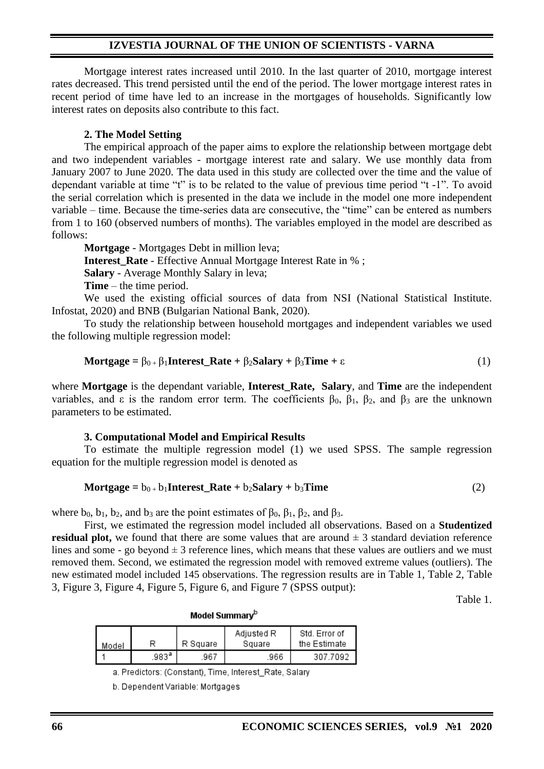# **IZVESTIA JOURNAL OF THE UNION OF SCIENTISTS - VARNA**

Mortgage interest rates increased until 2010. In the last quarter of 2010, mortgage interest rates decreased. This trend persisted until the end of the period. The lower mortgage interest rates in recent period of time have led to an increase in the mortgages of households. Significantly low interest rates on deposits also contribute to this fact.

## **2. The Model Setting**

The empirical approach of the paper aims to explore the relationship between mortgage debt and two independent variables - mortgage interest rate and salary. We use monthly data from January 2007 to June 2020. The data used in this study are collected over the time and the value of dependant variable at time "t" is to be related to the value of previous time period "t -1". To avoid the serial correlation which is presented in the data we include in the model one more independent variable – time. Because the time-series data are consecutive, the "time" can be entered as numbers from 1 to 160 (observed numbers of months). The variables employed in the model are described as follows:

**Mortgage** - Mortgages Debt in million leva;

**Interest Rate** - Effective Annual Mortgage Interest Rate in % ;

**Salary** - Average Monthly Salary in leva;

**Time** – the time period.

We used the existing official sources of data from NSI (National Statistical Institute. Infostat, 2020) and BNB (Bulgarian National Bank, 2020).

To study the relationship between household mortgages and independent variables we used the following multiple regression model:

$$
Mortgage = \beta_0 + \beta_1 Interest\_Rate + \beta_2 Salary + \beta_3 Time + \epsilon
$$
 (1)

where **Mortgage** is the dependant variable, **Interest\_Rate, Salary**, and **Time** are the independent variables, and  $\varepsilon$  is the random error term. The coefficients  $\beta_0$ ,  $\beta_1$ ,  $\beta_2$ , and  $\beta_3$  are the unknown parameters to be estimated.

#### **3. Computational Model and Empirical Results**

To estimate the multiple regression model (1) we used SPSS. The sample regression equation for the multiple regression model is denoted as

$$
Mortgage = b_{0+}b_1Interest\_Rate + b_2Salary + b_3Time
$$
 (2)

where  $b_0$ ,  $b_1$ ,  $b_2$ , and  $b_3$  are the point estimates of  $\beta_0$ ,  $\beta_1$ ,  $\beta_2$ , and  $\beta_3$ .

First, we estimated the regression model included all observations. Based on a **Studentized residual plot,** we found that there are some values that are around  $\pm$  3 standard deviation reference lines and some - go beyond  $\pm 3$  reference lines, which means that these values are outliers and we must removed them. Second, we estimated the regression model with removed extreme values (outliers). The new estimated model included 145 observations. The regression results are in Table 1, Table 2, Table 3, Figure 3, Figure 4, Figure 5, Figure 6, and Figure 7 (SPSS output):

Table 1.

| Model |      | R Square | Adjusted R<br>Square | Std. Error of<br>the Estimate |
|-------|------|----------|----------------------|-------------------------------|
|       | 983ª | .967     | 966                  | 307 7092                      |

Model Summary<sup>b</sup>

a. Predictors: (Constant), Time, Interest\_Rate, Salary

b. Dependent Variable: Mortgages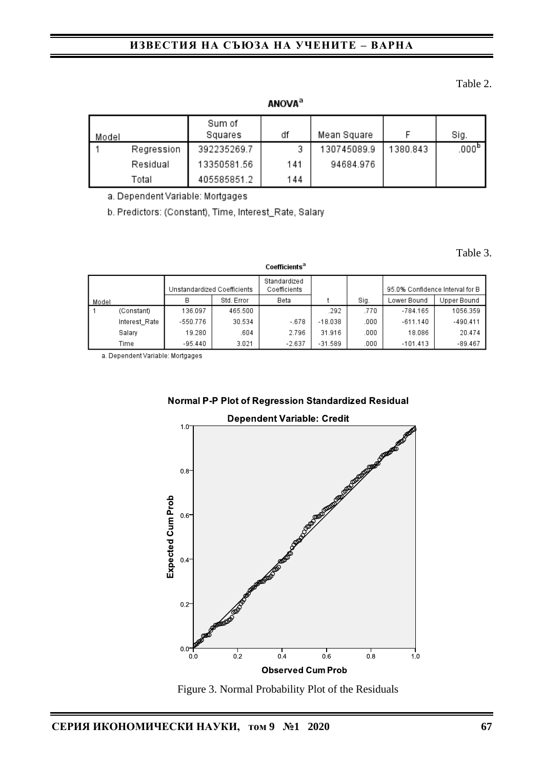# **ИЗВЕСТИЯ НА СЪЮЗА НА УЧЕНИТЕ – ВАРНА**

#### Table 2.

| Model |            | Sum of<br>Squares | df  | Mean Square |          | Sig.  |
|-------|------------|-------------------|-----|-------------|----------|-------|
|       | Regression | 392235269.7       |     | 130745089.9 | 1380.843 | .000° |
|       | Residual   | 13350581.56       | 141 | 94684.976   |          |       |
|       | Total      | 405585851.2       | 144 |             |          |       |

a. Dependent Variable: Mortgages

b. Predictors: (Constant), Time, Interest\_Rate, Salary

Table 3.

| Coefficients" |               |                             |            |                              |           |      |                                 |             |  |
|---------------|---------------|-----------------------------|------------|------------------------------|-----------|------|---------------------------------|-------------|--|
|               |               | Unstandardized Coefficients |            | Standardized<br>Coefficients |           |      | 95.0% Confidence Interval for B |             |  |
| Model         |               | в                           | Std. Error | Beta                         |           | Sig. | Lower Bound                     | Upper Bound |  |
|               | (Constant)    | 136.097                     | 465.500    |                              | .292      | .770 | $-784.165$                      | 1056.359    |  |
|               | Interest Rate | -550.776                    | 30.534     | $-.678$                      | $-18.038$ | .000 | $-611.140$                      | $-490.411$  |  |
|               | Salarv        | 19.280                      | 604        | 2.796                        | 31.916    | .000 | 18.086                          | 20.474      |  |
|               | Time          | -95.440                     | 3.021      | $-2.637$                     | -31.589   | .000 | $-101.413$                      | $-89.467$   |  |

a. Dependent Variable: Mortgages





**Dependent Variable: Credit** 

Figure 3. Normal Probability Plot of the Residuals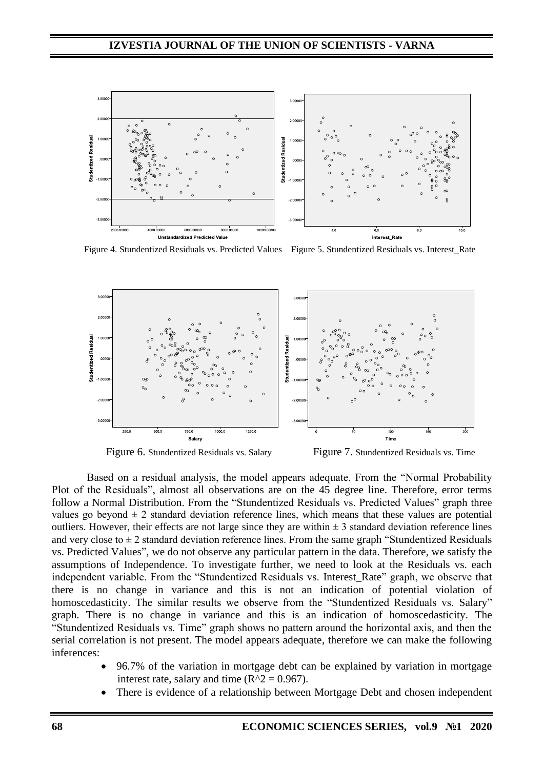

Figure 4. Stundentized Residuals vs. Predicted Values Figure 5. Stundentized Residuals vs. Interest\_Rate



Figure 6. Stundentized Residuals vs. Salary Figure 7. Stundentized Residuals vs. Time

Based on a residual analysis, the model appears adequate. From the "Normal Probability Plot of the Residuals", almost all observations are on the 45 degree line. Therefore, error terms follow a Normal Distribution. From the "Stundentized Residuals vs. Predicted Values" graph three values go beyond  $\pm 2$  standard deviation reference lines, which means that these values are potential outliers. However, their effects are not large since they are within  $\pm 3$  standard deviation reference lines and very close to  $\pm 2$  standard deviation reference lines. From the same graph "Stundentized Residuals" vs. Predicted Values", we do not observe any particular pattern in the data. Therefore, we satisfy the assumptions of Independence. To investigate further, we need to look at the Residuals vs. each independent variable. From the "Stundentized Residuals vs. Interest\_Rate" graph, we observe that there is no change in variance and this is not an indication of potential violation of homoscedasticity. The similar results we observe from the "Stundentized Residuals vs. Salary" graph. There is no change in variance and this is an indication of homoscedasticity. The "Stundentized Residuals vs. Time" graph shows no pattern around the horizontal axis, and then the serial correlation is not present. The model appears adequate, therefore we can make the following inferences:

- 96.7% of the variation in mortgage debt can be explained by variation in mortgage interest rate, salary and time  $(R^2 = 0.967)$ .
- There is evidence of a relationship between Mortgage Debt and chosen independent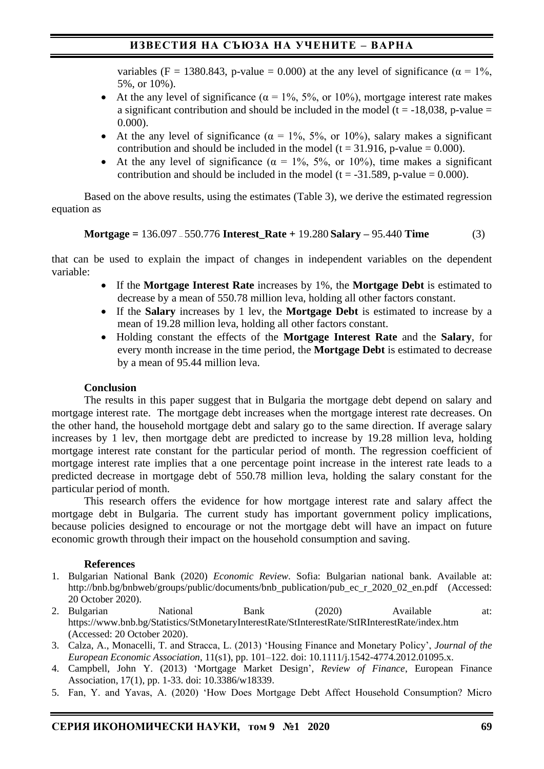# **ИЗВЕСТИЯ НА СЪЮЗА НА УЧЕНИТЕ – ВАРНА**

variables (F = 1380.843, p-value = 0.000) at the any level of significance ( $\alpha = 1\%$ , 5%, or 10%).

- At the any level of significance ( $\alpha = 1\%$ , 5%, or 10%), mortgage interest rate makes a significant contribution and should be included in the model ( $t = -18,038$ , p-value = 0.000).
- At the any level of significance ( $\alpha = 1\%$ , 5%, or 10%), salary makes a significant contribution and should be included in the model ( $t = 31.916$ , p-value = 0.000).
- At the any level of significance ( $\alpha = 1\%$ , 5%, or 10%), time makes a significant contribution and should be included in the model ( $t = -31.589$ , p-value = 0.000).

Based on the above results, using the estimates (Table 3), we derive the estimated regression equation as

**Mortgage =** 136.097 – 550.776 **Interest\_Rate +** 19.280 **Salary –** 95.440 **Time** (3)

that can be used to explain the impact of changes in independent variables on the dependent variable:

- If the **Mortgage Interest Rate** increases by 1%, the **Mortgage Debt** is estimated to decrease by a mean of 550.78 million leva, holding all other factors constant.
- If the **Salary** increases by 1 lev, the **Mortgage Debt** is estimated to increase by a mean of 19.28 million leva, holding all other factors constant.
- Holding constant the effects of the **Mortgage Interest Rate** and the **Salary**, for every month increase in the time period, the **Mortgage Debt** is estimated to decrease by a mean of 95.44 million leva.

## **Conclusion**

The results in this paper suggest that in Bulgaria the mortgage debt depend on salary and mortgage interest rate. The mortgage debt increases when the mortgage interest rate decreases. On the other hand, the household mortgage debt and salary go to the same direction. If average salary increases by 1 lev, then mortgage debt are predicted to increase by 19.28 million leva, holding mortgage interest rate constant for the particular period of month. The regression coefficient of mortgage interest rate implies that a one percentage point increase in the interest rate leads to a predicted decrease in mortgage debt of 550.78 million leva, holding the salary constant for the particular period of month.

This research offers the evidence for how mortgage interest rate and salary affect the mortgage debt in Bulgaria. The current study has important government policy implications, because policies designed to encourage or not the mortgage debt will have an impact on future economic growth through their impact on the household consumption and saving.

## **References**

- 1. Bulgarian National Bank (2020) *Economic Review*. Sofia: Bulgarian national bank. Available at: http://bnb.bg/bnbweb/groups/public/documents/bnb\_publication/pub\_ec\_r\_2020\_02\_en.pdf (Accessed: 20 October 2020).
- 2. Bulgarian National Bank (2020) Available at: https://www.bnb.bg/Statistics/StMonetaryInterestRate/StInterestRate/StIRInterestRate/index.htm (Accessed: 20 October 2020).
- 3. Calza, A., Monacelli, T. and Stracca, L. (2013) 'Housing Finance and Monetary Policy', *Journal of the European Economic Association*, 11(s1), pp. 101–122. doi: 10.1111/j.1542-4774.2012.01095.x.
- 4. Campbell, John Y. (2013) 'Mortgage Market Design', *Review of Finance*, European Finance Association, 17(1), pp. 1-33. doi: 10.3386/w18339.
- 5. Fan, Y. and Yavas, A. (2020) 'How Does Mortgage Debt Affect Household Consumption? Micro